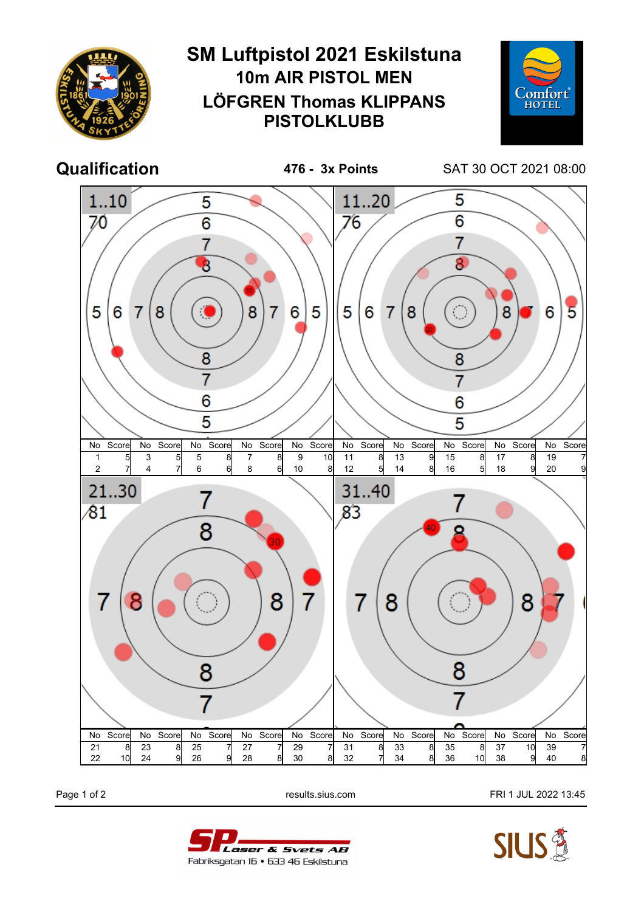

Page 1 of 2 **Page 1 of 2** results.sius.com **FRI 1 JUL 2022 13:45**